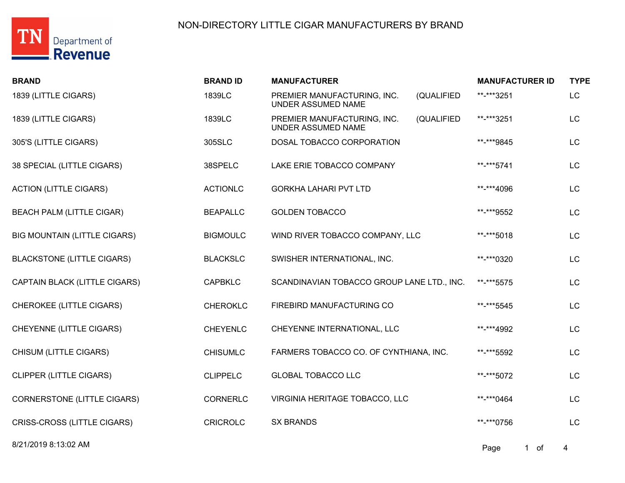

| <b>BRAND</b>                        | <b>BRAND ID</b> | <b>MANUFACTURER</b>                                      |            | <b>MANUFACTURER ID</b> | <b>TYPE</b> |
|-------------------------------------|-----------------|----------------------------------------------------------|------------|------------------------|-------------|
| 1839 (LITTLE CIGARS)                | 1839LC          | PREMIER MANUFACTURING, INC.<br>UNDER ASSUMED NAME        | (QUALIFIED | **-***3251             | <b>LC</b>   |
| 1839 (LITTLE CIGARS)                | 1839LC          | PREMIER MANUFACTURING, INC.<br><b>UNDER ASSUMED NAME</b> | (QUALIFIED | **-***3251             | LC          |
| 305'S (LITTLE CIGARS)               | 305SLC          | DOSAL TOBACCO CORPORATION                                |            | **-***9845             | <b>LC</b>   |
| 38 SPECIAL (LITTLE CIGARS)          | 38SPELC         | LAKE ERIE TOBACCO COMPANY                                |            | **-***5741             | <b>LC</b>   |
| <b>ACTION (LITTLE CIGARS)</b>       | <b>ACTIONLC</b> | <b>GORKHA LAHARI PVT LTD</b>                             |            | **-***4096             | <b>LC</b>   |
| <b>BEACH PALM (LITTLE CIGAR)</b>    | <b>BEAPALLC</b> | <b>GOLDEN TOBACCO</b>                                    |            | **-***9552             | LC          |
| <b>BIG MOUNTAIN (LITTLE CIGARS)</b> | <b>BIGMOULC</b> | WIND RIVER TOBACCO COMPANY, LLC                          |            | **-***5018             | <b>LC</b>   |
| <b>BLACKSTONE (LITTLE CIGARS)</b>   | <b>BLACKSLC</b> | SWISHER INTERNATIONAL, INC.                              |            | **-***0320             | LC          |
| CAPTAIN BLACK (LITTLE CIGARS)       | <b>CAPBKLC</b>  | SCANDINAVIAN TOBACCO GROUP LANE LTD., INC.               |            | **-***5575             | LC          |
| <b>CHEROKEE (LITTLE CIGARS)</b>     | <b>CHEROKLC</b> | FIREBIRD MANUFACTURING CO                                |            | **-***5545             | LC          |
| CHEYENNE (LITTLE CIGARS)            | <b>CHEYENLC</b> | CHEYENNE INTERNATIONAL, LLC                              |            | **-***4992             | <b>LC</b>   |
| CHISUM (LITTLE CIGARS)              | <b>CHISUMLC</b> | FARMERS TOBACCO CO. OF CYNTHIANA, INC.                   |            | **-***5592             | LC          |
| <b>CLIPPER (LITTLE CIGARS)</b>      | <b>CLIPPELC</b> | <b>GLOBAL TOBACCO LLC</b>                                |            | **-***5072             | <b>LC</b>   |
| <b>CORNERSTONE (LITTLE CIGARS)</b>  | <b>CORNERLC</b> | VIRGINIA HERITAGE TOBACCO, LLC                           |            | **-***0464             | LC          |
| CRISS-CROSS (LITTLE CIGARS)         | <b>CRICROLC</b> | <b>SX BRANDS</b>                                         |            | **-***0756             | <b>LC</b>   |
|                                     |                 |                                                          |            |                        |             |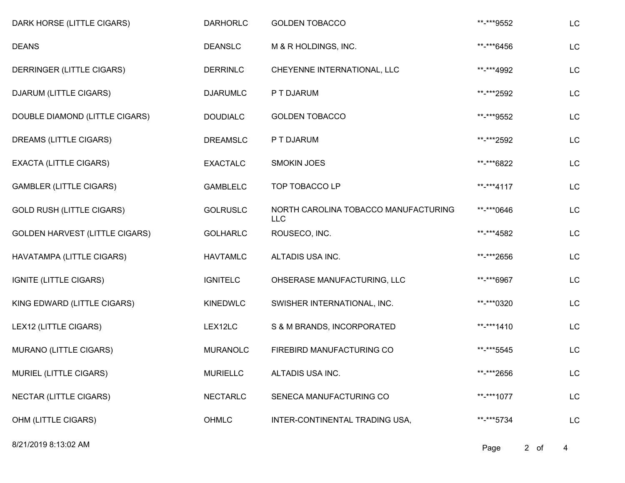| DARK HORSE (LITTLE CIGARS)            | <b>DARHORLC</b> | <b>GOLDEN TOBACCO</b>                              | **-***9552 | LC |
|---------------------------------------|-----------------|----------------------------------------------------|------------|----|
| <b>DEANS</b>                          | <b>DEANSLC</b>  | M & R HOLDINGS, INC.                               | **-***6456 | LC |
| DERRINGER (LITTLE CIGARS)             | <b>DERRINLC</b> | CHEYENNE INTERNATIONAL, LLC                        | **-***4992 | LC |
| DJARUM (LITTLE CIGARS)                | <b>DJARUMLC</b> | P T DJARUM                                         | **-***2592 | LC |
| DOUBLE DIAMOND (LITTLE CIGARS)        | <b>DOUDIALC</b> | <b>GOLDEN TOBACCO</b>                              | **-***9552 | LC |
| DREAMS (LITTLE CIGARS)                | <b>DREAMSLC</b> | P T DJARUM                                         | **-***2592 | LC |
| <b>EXACTA (LITTLE CIGARS)</b>         | <b>EXACTALC</b> | <b>SMOKIN JOES</b>                                 | **-***6822 | LC |
| <b>GAMBLER (LITTLE CIGARS)</b>        | <b>GAMBLELC</b> | TOP TOBACCO LP                                     | **-***4117 | LC |
| <b>GOLD RUSH (LITTLE CIGARS)</b>      | <b>GOLRUSLC</b> | NORTH CAROLINA TOBACCO MANUFACTURING<br><b>LLC</b> | **-***0646 | LC |
| <b>GOLDEN HARVEST (LITTLE CIGARS)</b> | <b>GOLHARLC</b> | ROUSECO, INC.                                      | **-***4582 | LC |
| HAVATAMPA (LITTLE CIGARS)             | <b>HAVTAMLC</b> | ALTADIS USA INC.                                   | **-***2656 | LC |
| IGNITE (LITTLE CIGARS)                | <b>IGNITELC</b> | OHSERASE MANUFACTURING, LLC                        | **-***6967 | LC |
| KING EDWARD (LITTLE CIGARS)           | <b>KINEDWLC</b> | SWISHER INTERNATIONAL, INC.                        | **-***0320 | LC |
| LEX12 (LITTLE CIGARS)                 | LEX12LC         | S & M BRANDS, INCORPORATED                         | **-***1410 | LC |
| MURANO (LITTLE CIGARS)                | <b>MURANOLC</b> | FIREBIRD MANUFACTURING CO                          | **-***5545 | LC |
| <b>MURIEL (LITTLE CIGARS)</b>         | <b>MURIELLC</b> | ALTADIS USA INC.                                   | **-***2656 | LC |
| <b>NECTAR (LITTLE CIGARS)</b>         | <b>NECTARLC</b> | SENECA MANUFACTURING CO                            | **-***1077 | LC |
| OHM (LITTLE CIGARS)                   | OHMLC           | INTER-CONTINENTAL TRADING USA,                     | **-***5734 | LC |

8/21/2019 8:13:02 AM Page 2 of 4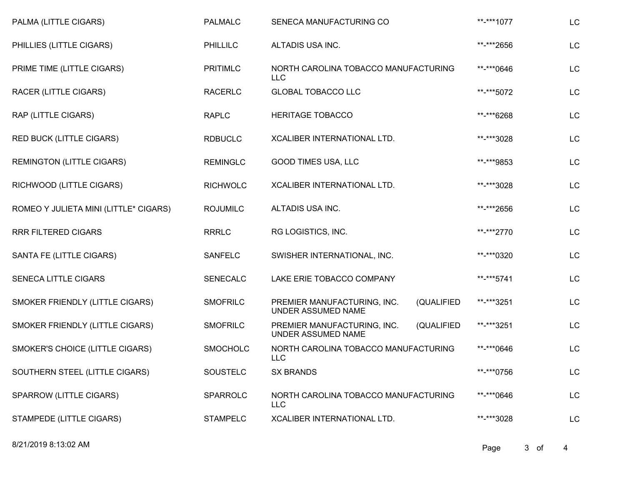| PALMA (LITTLE CIGARS)                 | <b>PALMALC</b>  | SENECA MANUFACTURING CO                                         | **-***1077 | LC |
|---------------------------------------|-----------------|-----------------------------------------------------------------|------------|----|
| PHILLIES (LITTLE CIGARS)              | <b>PHILLILC</b> | ALTADIS USA INC.                                                | **-***2656 | LC |
| PRIME TIME (LITTLE CIGARS)            | <b>PRITIMLC</b> | NORTH CAROLINA TOBACCO MANUFACTURING<br><b>LLC</b>              | **-***0646 | LC |
| RACER (LITTLE CIGARS)                 | <b>RACERLC</b>  | <b>GLOBAL TOBACCO LLC</b>                                       | **-***5072 | LC |
| RAP (LITTLE CIGARS)                   | <b>RAPLC</b>    | <b>HERITAGE TOBACCO</b>                                         | **-***6268 | LC |
| <b>RED BUCK (LITTLE CIGARS)</b>       | <b>RDBUCLC</b>  | XCALIBER INTERNATIONAL LTD.                                     | **-***3028 | LC |
| <b>REMINGTON (LITTLE CIGARS)</b>      | <b>REMINGLC</b> | GOOD TIMES USA, LLC                                             | **-***9853 | LC |
| RICHWOOD (LITTLE CIGARS)              | <b>RICHWOLC</b> | XCALIBER INTERNATIONAL LTD.                                     | **-***3028 | LC |
| ROMEO Y JULIETA MINI (LITTLE* CIGARS) | <b>ROJUMILC</b> | ALTADIS USA INC.                                                | **-***2656 | LC |
| <b>RRR FILTERED CIGARS</b>            | <b>RRRLC</b>    | RG LOGISTICS, INC.                                              | **-***2770 | LC |
| SANTA FE (LITTLE CIGARS)              | <b>SANFELC</b>  | SWISHER INTERNATIONAL, INC.                                     | **-***0320 | LC |
| <b>SENECA LITTLE CIGARS</b>           | <b>SENECALC</b> | LAKE ERIE TOBACCO COMPANY                                       | **-***5741 | LC |
| SMOKER FRIENDLY (LITTLE CIGARS)       | <b>SMOFRILC</b> | (QUALIFIED<br>PREMIER MANUFACTURING, INC.<br>UNDER ASSUMED NAME | **-***3251 | LC |
| SMOKER FRIENDLY (LITTLE CIGARS)       | <b>SMOFRILC</b> | (QUALIFIED<br>PREMIER MANUFACTURING, INC.<br>UNDER ASSUMED NAME | **-***3251 | LC |
| SMOKER'S CHOICE (LITTLE CIGARS)       | <b>SMOCHOLC</b> | NORTH CAROLINA TOBACCO MANUFACTURING<br><b>LLC</b>              | **-***0646 | LC |
| SOUTHERN STEEL (LITTLE CIGARS)        | SOUSTELC        | <b>SX BRANDS</b>                                                | **-***0756 | LC |
| SPARROW (LITTLE CIGARS)               | SPARROLC        | NORTH CAROLINA TOBACCO MANUFACTURING<br><b>LLC</b>              | **-***0646 | LC |
| STAMPEDE (LITTLE CIGARS)              | <b>STAMPELC</b> | XCALIBER INTERNATIONAL LTD.                                     | **-***3028 | LC |